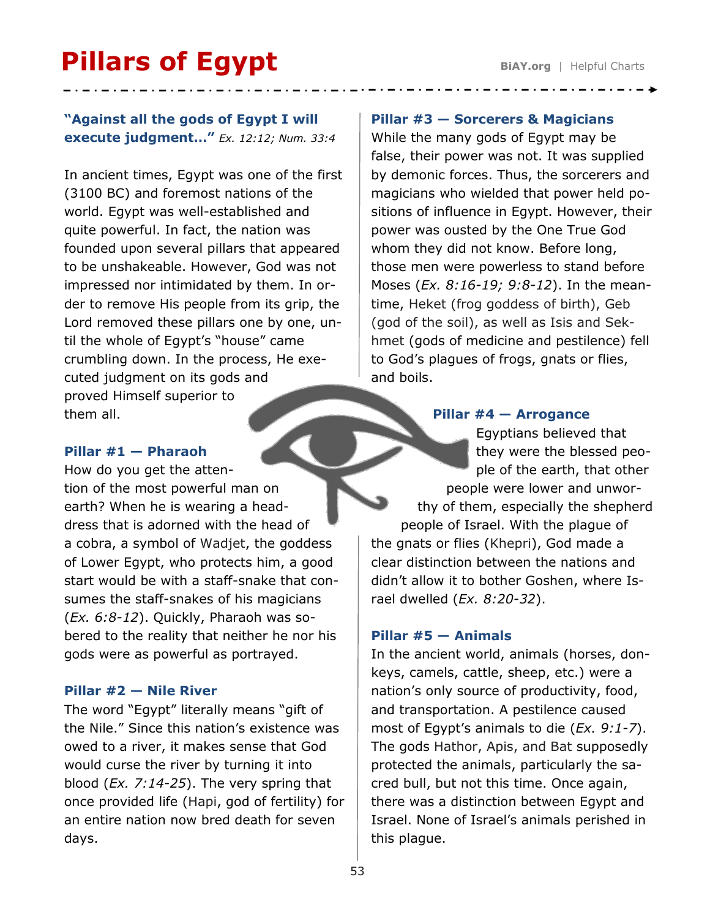# **Pillars of Egypt** BiAY.org | Helpful Charts

# **"Against all the gods of Egypt I will execute judgment…"** *Ex. 12:12; Num. 33:4*

In ancient times, Egypt was one of the first (3100 BC) and foremost nations of the world. Egypt was well-established and quite powerful. In fact, the nation was founded upon several pillars that appeared to be unshakeable. However, God was not impressed nor intimidated by them. In order to remove His people from its grip, the Lord removed these pillars one by one, until the whole of Egypt's "house" came crumbling down. In the process, He executed judgment on its gods and proved Himself superior to them all.

# **Pillar #1 — Pharaoh**

How do you get the attention of the most powerful man on earth? When he is wearing a headdress that is adorned with the head of a cobra, a symbol of Wadjet, the goddess of Lower Egypt, who protects him, a good start would be with a staff-snake that consumes the staff-snakes of his magicians (*Ex. 6:8-12*). Quickly, Pharaoh was sobered to the reality that neither he nor his gods were as powerful as portrayed.

## **Pillar #2 — Nile River**

The word "Egypt" literally means "gift of the Nile." Since this nation's existence was owed to a river, it makes sense that God would curse the river by turning it into blood (*Ex. 7:14-25*). The very spring that once provided life (Hapi, god of fertility) for an entire nation now bred death for seven days.

### **Pillar #3 — Sorcerers & Magicians**

While the many gods of Egypt may be false, their power was not. It was supplied by demonic forces. Thus, the sorcerers and magicians who wielded that power held positions of influence in Egypt. However, their power was ousted by the One True God whom they did not know. Before long, those men were powerless to stand before Moses (*Ex. 8:16-19; 9:8-12*). In the meantime, Heket (frog goddess of birth), Geb (god of the soil), as well as Isis and Sekhmet (gods of medicine and pestilence) fell to God's plagues of frogs, gnats or flies, and boils.

#### **Pillar #4 — Arrogance**

Egyptians believed that they were the blessed people of the earth, that other people were lower and unworthy of them, especially the shepherd people of Israel. With the plague of the gnats or flies (Khepri), God made a clear distinction between the nations and didn't allow it to bother Goshen, where Israel dwelled (*Ex. 8:20-32*).

## **Pillar #5 — Animals**

In the ancient world, animals (horses, donkeys, camels, cattle, sheep, etc.) were a nation's only source of productivity, food, and transportation. A pestilence caused most of Egypt's animals to die (*Ex. 9:1-7*). The gods Hathor, Apis, and Bat supposedly protected the animals, particularly the sacred bull, but not this time. Once again, there was a distinction between Egypt and Israel. None of Israel's animals perished in this plague.